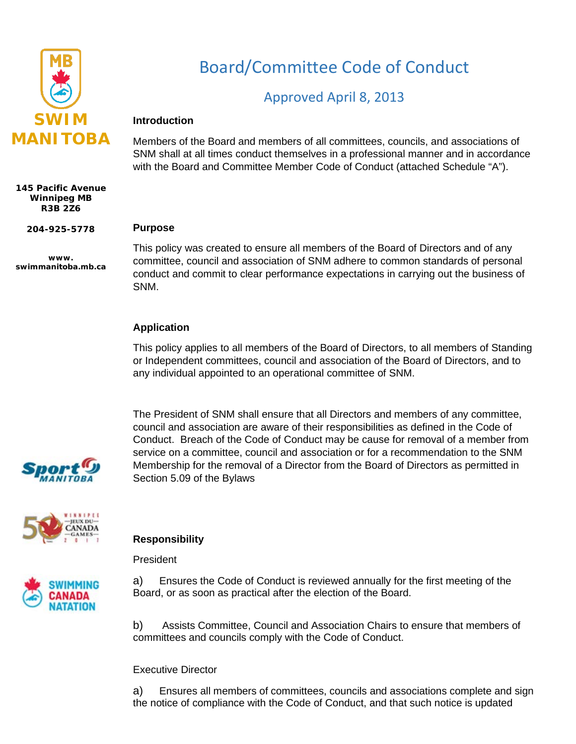

**145 Pacific Avenue Winnipeg MB R3B 2Z6**

**204-925-5778**

**www. swimmanitoba.mb.ca** Board/Committee Code of Conduct

# Approved April 8, 2013

### **Introduction**

Members of the Board and members of all committees, councils, and associations of SNM shall at all times conduct themselves in a professional manner and in accordance with the Board and Committee Member Code of Conduct (attached Schedule "A").

#### **Purpose**

This policy was created to ensure all members of the Board of Directors and of any committee, council and association of SNM adhere to common standards of personal conduct and commit to clear performance expectations in carrying out the business of SNM.

## **Application**

This policy applies to all members of the Board of Directors, to all members of Standing or Independent committees, council and association of the Board of Directors, and to any individual appointed to an operational committee of SNM.

The President of SNM shall ensure that all Directors and members of any committee, council and association are aware of their responsibilities as defined in the Code of Conduct. Breach of the Code of Conduct may be cause for removal of a member from service on a committee, council and association or for a recommendation to the SNM Membership for the removal of a Director from the Board of Directors as permitted in Section 5.09 of the Bylaws





## **Responsibility**

President



a) Ensures the Code of Conduct is reviewed annually for the first meeting of the Board, or as soon as practical after the election of the Board.

b) Assists Committee, Council and Association Chairs to ensure that members of committees and councils comply with the Code of Conduct.

### Executive Director

a) Ensures all members of committees, councils and associations complete and sign the notice of compliance with the Code of Conduct, and that such notice is updated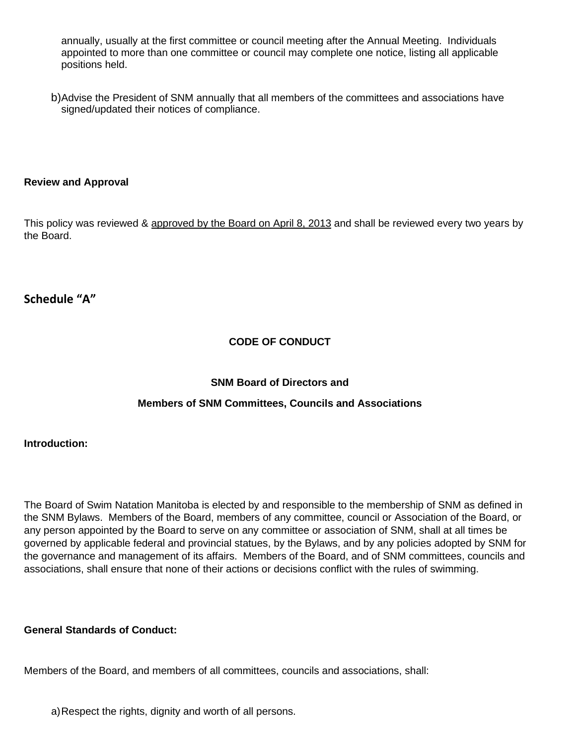annually, usually at the first committee or council meeting after the Annual Meeting. Individuals appointed to more than one committee or council may complete one notice, listing all applicable positions held.

b)Advise the President of SNM annually that all members of the committees and associations have signed/updated their notices of compliance.

### **Review and Approval**

This policy was reviewed & approved by the Board on April 8, 2013 and shall be reviewed every two years by the Board.

## **Schedule "A"**

## **CODE OF CONDUCT**

### **SNM Board of Directors and**

### **Members of SNM Committees, Councils and Associations**

### **Introduction:**

The Board of Swim Natation Manitoba is elected by and responsible to the membership of SNM as defined in the SNM Bylaws. Members of the Board, members of any committee, council or Association of the Board, or any person appointed by the Board to serve on any committee or association of SNM, shall at all times be governed by applicable federal and provincial statues, by the Bylaws, and by any policies adopted by SNM for the governance and management of its affairs. Members of the Board, and of SNM committees, councils and associations, shall ensure that none of their actions or decisions conflict with the rules of swimming.

### **General Standards of Conduct:**

Members of the Board, and members of all committees, councils and associations, shall:

a)Respect the rights, dignity and worth of all persons.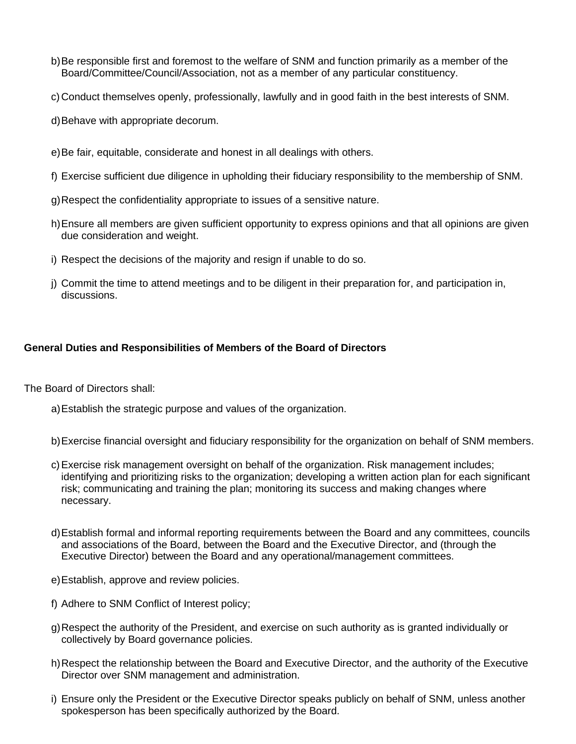- b)Be responsible first and foremost to the welfare of SNM and function primarily as a member of the Board/Committee/Council/Association, not as a member of any particular constituency.
- c) Conduct themselves openly, professionally, lawfully and in good faith in the best interests of SNM.
- d)Behave with appropriate decorum.
- e)Be fair, equitable, considerate and honest in all dealings with others.
- f) Exercise sufficient due diligence in upholding their fiduciary responsibility to the membership of SNM.
- g)Respect the confidentiality appropriate to issues of a sensitive nature.
- h)Ensure all members are given sufficient opportunity to express opinions and that all opinions are given due consideration and weight.
- i) Respect the decisions of the majority and resign if unable to do so.
- j) Commit the time to attend meetings and to be diligent in their preparation for, and participation in, discussions.

### **General Duties and Responsibilities of Members of the Board of Directors**

The Board of Directors shall:

- a)Establish the strategic purpose and values of the organization.
- b)Exercise financial oversight and fiduciary responsibility for the organization on behalf of SNM members.
- c)Exercise risk management oversight on behalf of the organization. Risk management includes; identifying and prioritizing risks to the organization; developing a written action plan for each significant risk; communicating and training the plan; monitoring its success and making changes where necessary.
- d)Establish formal and informal reporting requirements between the Board and any committees, councils and associations of the Board, between the Board and the Executive Director, and (through the Executive Director) between the Board and any operational/management committees.
- e)Establish, approve and review policies.
- f) Adhere to SNM Conflict of Interest policy;
- g)Respect the authority of the President, and exercise on such authority as is granted individually or collectively by Board governance policies.
- h)Respect the relationship between the Board and Executive Director, and the authority of the Executive Director over SNM management and administration.
- i) Ensure only the President or the Executive Director speaks publicly on behalf of SNM, unless another spokesperson has been specifically authorized by the Board.